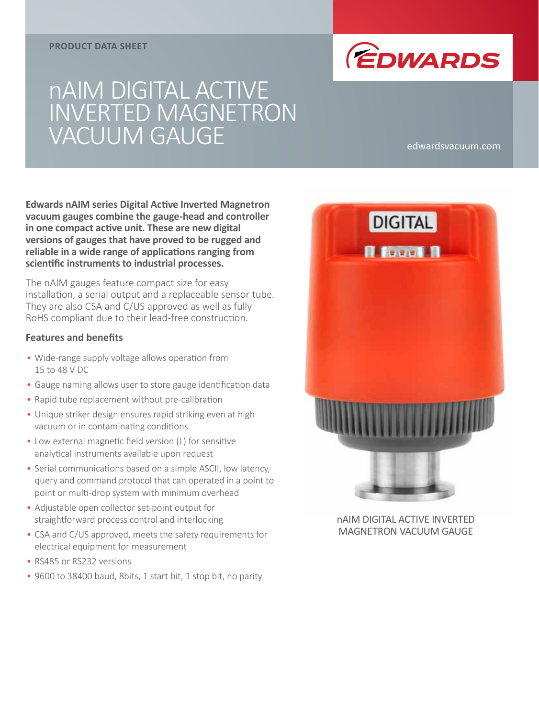#### **PRODUCT DATA SHEET**



# nAIM DIGITAL ACTIVE INVERTED MAGNETRON VACUUM GAUGE edwardsvacuum.com

**Edwards nAIM series Digital Active Inverted Magnetron vacuum gauges combine the gauge-head and controller in one compact active unit. These are new digital versions of gauges that have proved to be rugged and reliable in a wide range of applications ranging from scientific instruments to industrial processes.**

The nAIM gauges feature compact size for easy installation, a serial output and a replaceable sensor tube. They are also CSA and C/US approved as well as fully RoHS compliant due to their lead-free construction.

#### **Features and benefits**

- Wide-range supply voltage allows operation from 15 to 48 V DC
- Gauge naming allows user to store gauge identification data
- Rapid tube replacement without pre-calibration
- Unique striker design ensures rapid striking even at high vacuum or in contaminating conditions
- Low external magnetic field version (L) for sensitive analytical instruments available upon request
- Serial communications based on a simple ASCII, low latency, query and command protocol that can operated in a point to point or multi-drop system with minimum overhead
- Adjustable open collector set-point output for straightforward process control and interlocking
- CSA and C/US approved, meets the safety requirements for electrical equipment for measurement
- RS485 or RS232 versions
- 9600 to 38400 baud, 8bits, 1 start bit, 1 stop bit, no parity



nAIM DIGITAL ACTIVE INVERTED MAGNETRON VACUUM GAUGE